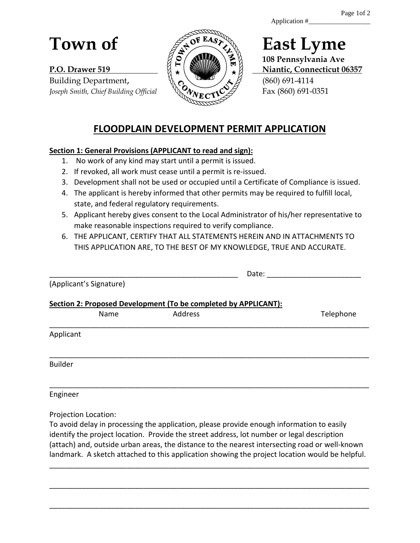Application #\_\_\_\_\_\_\_\_\_\_\_\_\_\_\_\_\_\_

Building Department,  $\sqrt{\alpha} \sim \sqrt{360}$  (860) 691-4114 Joseph Smith, Chief Building Official  $\sqrt{\lambda}$   $\sqrt{\lambda}$  **Fax** (860) 691-0351



**108 Pennsylvania Ave P.O. Drawer 519 Niantic, Connecticut 06357** 

# **FLOODPLAIN DEVELOPMENT PERMIT APPLICATION**

## **Section 1: General Provisions (APPLICANT to read and sign):**

- 1. No work of any kind may start until a permit is issued.
- 2. If revoked, all work must cease until a permit is re-issued.
- 3. Development shall not be used or occupied until a Certificate of Compliance is issued.
- 4. The applicant is hereby informed that other permits may be required to fulfill local, state, and federal regulatory requirements.
- 5. Applicant hereby gives consent to the Local Administrator of his/her representative to make reasonable inspections required to verify compliance.
- 6. THE APPLICANT, CERTIFY THAT ALL STATEMENTS HEREIN AND IN ATTACHMENTS TO THIS APPLICATION ARE, TO THE BEST OF MY KNOWLEDGE, TRUE AND ACCURATE.

|                                                                 |                         | Date:   |           |  |  |  |  |
|-----------------------------------------------------------------|-------------------------|---------|-----------|--|--|--|--|
|                                                                 | (Applicant's Signature) |         |           |  |  |  |  |
| Section 2: Proposed Development (To be completed by APPLICANT): |                         |         |           |  |  |  |  |
|                                                                 | Name                    | Address | Telephone |  |  |  |  |
| Applicant                                                       |                         |         |           |  |  |  |  |
| <b>Builder</b>                                                  |                         |         |           |  |  |  |  |
|                                                                 |                         |         |           |  |  |  |  |

Engineer

Projection Location:

To avoid delay in processing the application, please provide enough information to easily identify the project location. Provide the street address, lot number or legal description (attach) and, outside urban areas, the distance to the nearest intersecting road or well-known landmark. A sketch attached to this application showing the project location would be helpful.

\_\_\_\_\_\_\_\_\_\_\_\_\_\_\_\_\_\_\_\_\_\_\_\_\_\_\_\_\_\_\_\_\_\_\_\_\_\_\_\_\_\_\_\_\_\_\_\_\_\_\_\_\_\_\_\_\_\_\_\_\_\_\_\_\_\_\_\_\_\_\_\_\_\_\_\_\_\_

\_\_\_\_\_\_\_\_\_\_\_\_\_\_\_\_\_\_\_\_\_\_\_\_\_\_\_\_\_\_\_\_\_\_\_\_\_\_\_\_\_\_\_\_\_\_\_\_\_\_\_\_\_\_\_\_\_\_\_\_\_\_\_\_\_\_\_\_\_\_\_\_\_\_\_\_\_\_

\_\_\_\_\_\_\_\_\_\_\_\_\_\_\_\_\_\_\_\_\_\_\_\_\_\_\_\_\_\_\_\_\_\_\_\_\_\_\_\_\_\_\_\_\_\_\_\_\_\_\_\_\_\_\_\_\_\_\_\_\_\_\_\_\_\_\_\_\_\_\_\_\_\_\_\_\_\_